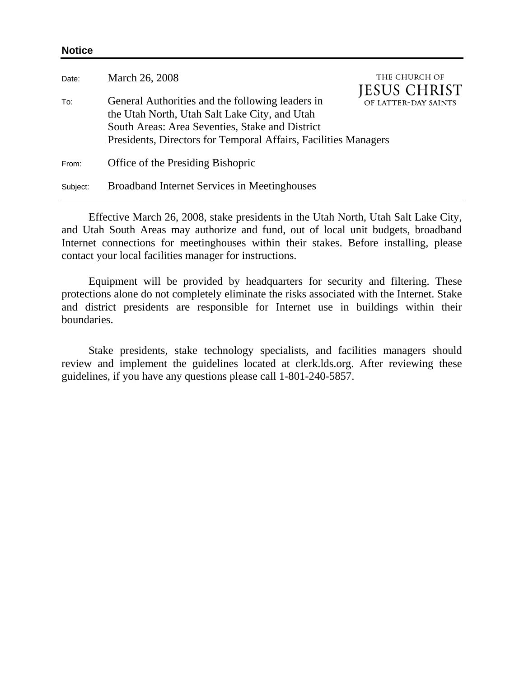| Date:    | March 26, 2008                                                                                                                                                                                                          | THE CHURCH OF<br><b>JESUS CHRIST</b> |
|----------|-------------------------------------------------------------------------------------------------------------------------------------------------------------------------------------------------------------------------|--------------------------------------|
| To:      | General Authorities and the following leaders in<br>the Utah North, Utah Salt Lake City, and Utah<br>South Areas: Area Seventies, Stake and District<br>Presidents, Directors for Temporal Affairs, Facilities Managers | OF LATTER-DAY SAINTS                 |
| From:    | Office of the Presiding Bishopric                                                                                                                                                                                       |                                      |
| Subject: | <b>Broadband Internet Services in Meetinghouses</b>                                                                                                                                                                     |                                      |

**Notice** 

Effective March 26, 2008, stake presidents in the Utah North, Utah Salt Lake City, and Utah South Areas may authorize and fund, out of local unit budgets, broadband Internet connections for meetinghouses within their stakes. Before installing, please contact your local facilities manager for instructions.

Equipment will be provided by headquarters for security and filtering. These protections alone do not completely eliminate the risks associated with the Internet. Stake and district presidents are responsible for Internet use in buildings within their boundaries.

Stake presidents, stake technology specialists, and facilities managers should review and implement the guidelines located at clerk.lds.org. After reviewing these guidelines, if you have any questions please call 1-801-240-5857.